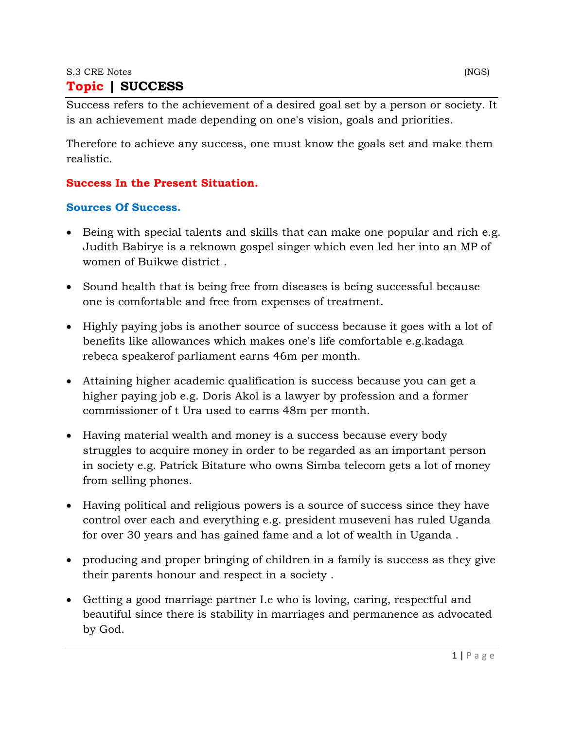#### S.3 CRE Notes (NGS)

### **Topic | SUCCESS**

Success refers to the achievement of a desired goal set by a person or society. It is an achievement made depending on one's vision, goals and priorities.

Therefore to achieve any success, one must know the goals set and make them realistic.

#### **Success In the Present Situation.**

#### **Sources Of Success.**

- Being with special talents and skills that can make one popular and rich e.g. Judith Babirye is a reknown gospel singer which even led her into an MP of women of Buikwe district .
- Sound health that is being free from diseases is being successful because one is comfortable and free from expenses of treatment.
- Highly paying jobs is another source of success because it goes with a lot of benefits like allowances which makes one's life comfortable e.g.kadaga rebeca speakerof parliament earns 46m per month.
- Attaining higher academic qualification is success because you can get a higher paying job e.g. Doris Akol is a lawyer by profession and a former commissioner of t Ura used to earns 48m per month.
- Having material wealth and money is a success because every body struggles to acquire money in order to be regarded as an important person in society e.g. Patrick Bitature who owns Simba telecom gets a lot of money from selling phones.
- Having political and religious powers is a source of success since they have control over each and everything e.g. president museveni has ruled Uganda for over 30 years and has gained fame and a lot of wealth in Uganda .
- producing and proper bringing of children in a family is success as they give their parents honour and respect in a society .
- Getting a good marriage partner I.e who is loving, caring, respectful and beautiful since there is stability in marriages and permanence as advocated by God.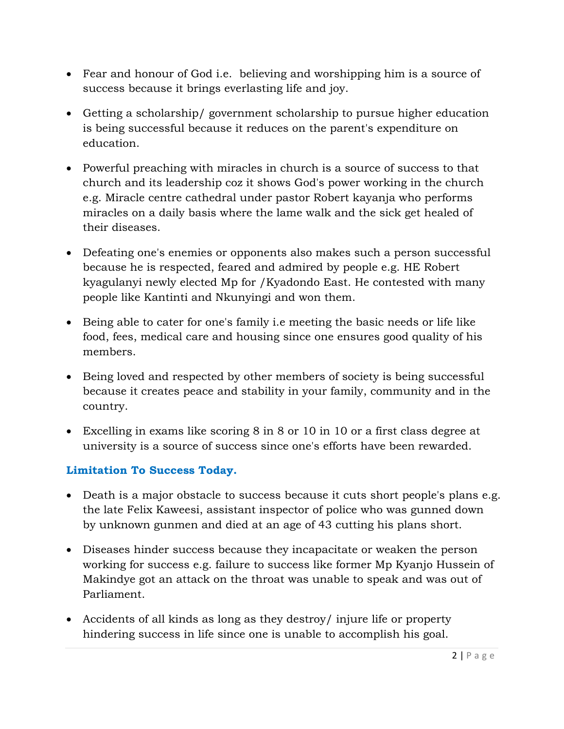- Fear and honour of God i.e. believing and worshipping him is a source of success because it brings everlasting life and joy.
- Getting a scholarship/ government scholarship to pursue higher education is being successful because it reduces on the parent's expenditure on education.
- Powerful preaching with miracles in church is a source of success to that church and its leadership coz it shows God's power working in the church e.g. Miracle centre cathedral under pastor Robert kayanja who performs miracles on a daily basis where the lame walk and the sick get healed of their diseases.
- Defeating one's enemies or opponents also makes such a person successful because he is respected, feared and admired by people e.g. HE Robert kyagulanyi newly elected Mp for /Kyadondo East. He contested with many people like Kantinti and Nkunyingi and won them.
- Being able to cater for one's family i.e meeting the basic needs or life like food, fees, medical care and housing since one ensures good quality of his members.
- Being loved and respected by other members of society is being successful because it creates peace and stability in your family, community and in the country.
- Excelling in exams like scoring 8 in 8 or 10 in 10 or a first class degree at university is a source of success since one's efforts have been rewarded.

## **Limitation To Success Today.**

- Death is a major obstacle to success because it cuts short people's plans e.g. the late Felix Kaweesi, assistant inspector of police who was gunned down by unknown gunmen and died at an age of 43 cutting his plans short.
- Diseases hinder success because they incapacitate or weaken the person working for success e.g. failure to success like former Mp Kyanjo Hussein of Makindye got an attack on the throat was unable to speak and was out of Parliament.
- Accidents of all kinds as long as they destroy/ injure life or property hindering success in life since one is unable to accomplish his goal.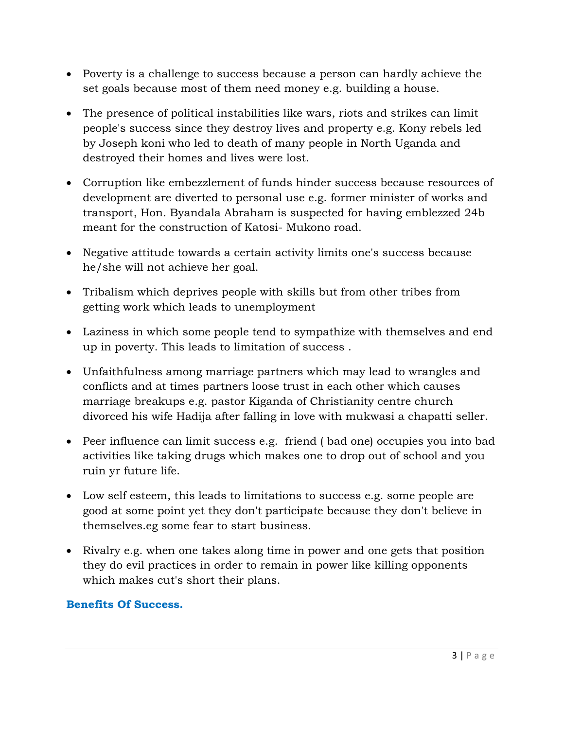- Poverty is a challenge to success because a person can hardly achieve the set goals because most of them need money e.g. building a house.
- The presence of political instabilities like wars, riots and strikes can limit people's success since they destroy lives and property e.g. Kony rebels led by Joseph koni who led to death of many people in North Uganda and destroyed their homes and lives were lost.
- Corruption like embezzlement of funds hinder success because resources of development are diverted to personal use e.g. former minister of works and transport, Hon. Byandala Abraham is suspected for having emblezzed 24b meant for the construction of Katosi- Mukono road.
- Negative attitude towards a certain activity limits one's success because he/she will not achieve her goal.
- Tribalism which deprives people with skills but from other tribes from getting work which leads to unemployment
- Laziness in which some people tend to sympathize with themselves and end up in poverty. This leads to limitation of success .
- Unfaithfulness among marriage partners which may lead to wrangles and conflicts and at times partners loose trust in each other which causes marriage breakups e.g. pastor Kiganda of Christianity centre church divorced his wife Hadija after falling in love with mukwasi a chapatti seller.
- Peer influence can limit success e.g. friend ( bad one) occupies you into bad activities like taking drugs which makes one to drop out of school and you ruin yr future life.
- Low self esteem, this leads to limitations to success e.g. some people are good at some point yet they don't participate because they don't believe in themselves.eg some fear to start business.
- Rivalry e.g. when one takes along time in power and one gets that position they do evil practices in order to remain in power like killing opponents which makes cut's short their plans.

#### **Benefits Of Success.**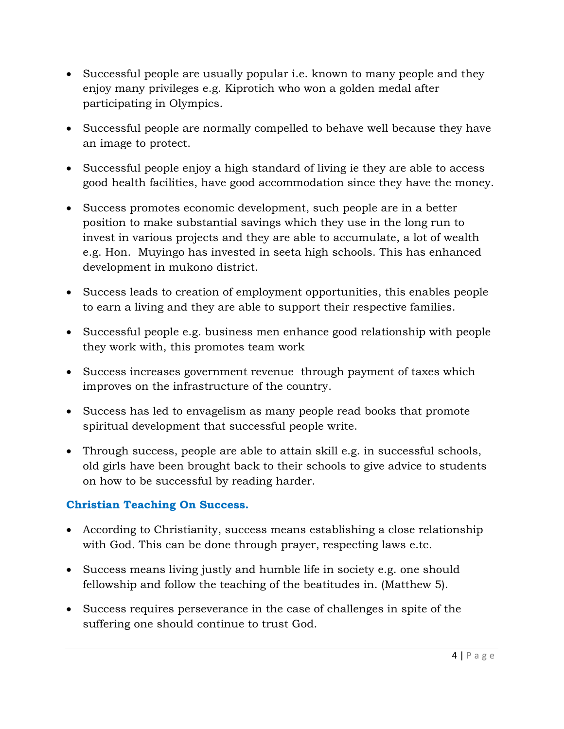- Successful people are usually popular *i.e.* known to many people and they enjoy many privileges e.g. Kiprotich who won a golden medal after participating in Olympics.
- Successful people are normally compelled to behave well because they have an image to protect.
- Successful people enjoy a high standard of living ie they are able to access good health facilities, have good accommodation since they have the money.
- Success promotes economic development, such people are in a better position to make substantial savings which they use in the long run to invest in various projects and they are able to accumulate, a lot of wealth e.g. Hon. Muyingo has invested in seeta high schools. This has enhanced development in mukono district.
- Success leads to creation of employment opportunities, this enables people to earn a living and they are able to support their respective families.
- Successful people e.g. business men enhance good relationship with people they work with, this promotes team work
- Success increases government revenue through payment of taxes which improves on the infrastructure of the country.
- Success has led to envagelism as many people read books that promote spiritual development that successful people write.
- Through success, people are able to attain skill e.g. in successful schools, old girls have been brought back to their schools to give advice to students on how to be successful by reading harder.

### **Christian Teaching On Success.**

- According to Christianity, success means establishing a close relationship with God. This can be done through prayer, respecting laws e.tc.
- Success means living justly and humble life in society e.g. one should fellowship and follow the teaching of the beatitudes in. (Matthew 5).
- Success requires perseverance in the case of challenges in spite of the suffering one should continue to trust God.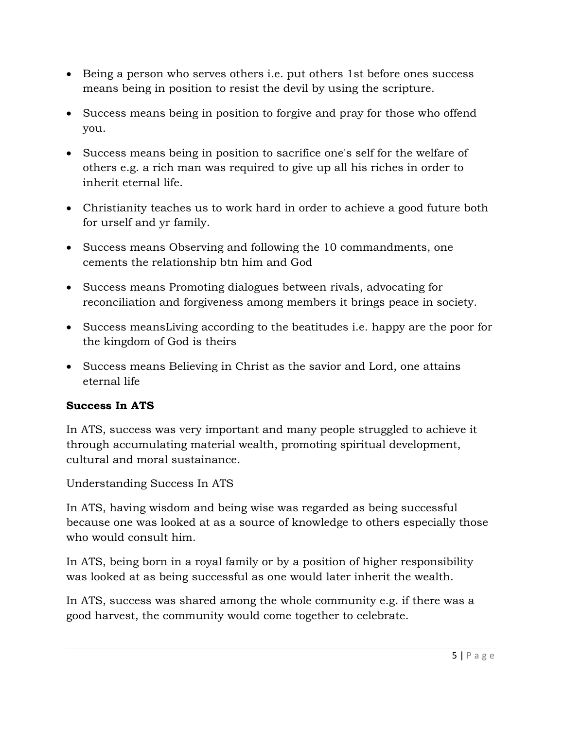- Being a person who serves others i.e. put others 1st before ones success means being in position to resist the devil by using the scripture.
- Success means being in position to forgive and pray for those who offend you.
- Success means being in position to sacrifice one's self for the welfare of others e.g. a rich man was required to give up all his riches in order to inherit eternal life.
- Christianity teaches us to work hard in order to achieve a good future both for urself and yr family.
- Success means Observing and following the 10 commandments, one cements the relationship btn him and God
- Success means Promoting dialogues between rivals, advocating for reconciliation and forgiveness among members it brings peace in society.
- Success meansLiving according to the beatitudes i.e. happy are the poor for the kingdom of God is theirs
- Success means Believing in Christ as the savior and Lord, one attains eternal life

### **Success In ATS**

In ATS, success was very important and many people struggled to achieve it through accumulating material wealth, promoting spiritual development, cultural and moral sustainance.

Understanding Success In ATS

In ATS, having wisdom and being wise was regarded as being successful because one was looked at as a source of knowledge to others especially those who would consult him.

In ATS, being born in a royal family or by a position of higher responsibility was looked at as being successful as one would later inherit the wealth.

In ATS, success was shared among the whole community e.g. if there was a good harvest, the community would come together to celebrate.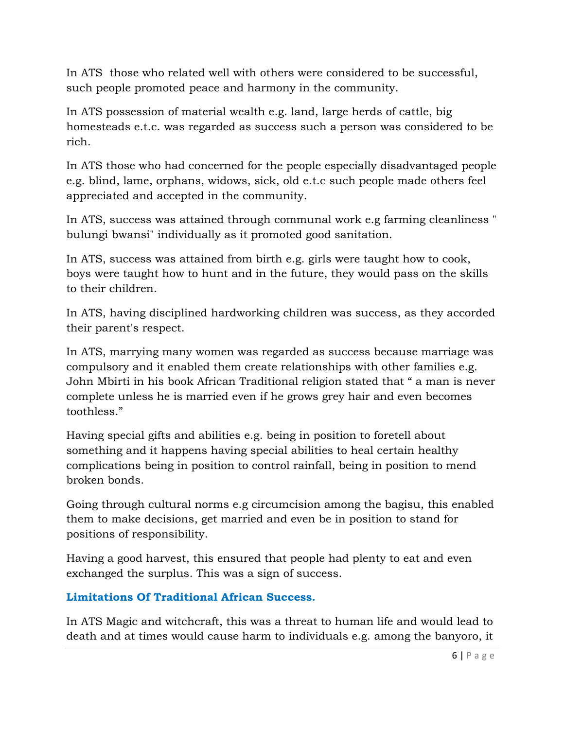In ATS those who related well with others were considered to be successful, such people promoted peace and harmony in the community.

In ATS possession of material wealth e.g. land, large herds of cattle, big homesteads e.t.c. was regarded as success such a person was considered to be rich.

In ATS those who had concerned for the people especially disadvantaged people e.g. blind, lame, orphans, widows, sick, old e.t.c such people made others feel appreciated and accepted in the community.

In ATS, success was attained through communal work e.g farming cleanliness " bulungi bwansi" individually as it promoted good sanitation.

In ATS, success was attained from birth e.g. girls were taught how to cook, boys were taught how to hunt and in the future, they would pass on the skills to their children.

In ATS, having disciplined hardworking children was success, as they accorded their parent's respect.

In ATS, marrying many women was regarded as success because marriage was compulsory and it enabled them create relationships with other families e.g. John Mbirti in his book African Traditional religion stated that " a man is never complete unless he is married even if he grows grey hair and even becomes toothless."

Having special gifts and abilities e.g. being in position to foretell about something and it happens having special abilities to heal certain healthy complications being in position to control rainfall, being in position to mend broken bonds.

Going through cultural norms e.g circumcision among the bagisu, this enabled them to make decisions, get married and even be in position to stand for positions of responsibility.

Having a good harvest, this ensured that people had plenty to eat and even exchanged the surplus. This was a sign of success.

## **Limitations Of Traditional African Success.**

In ATS Magic and witchcraft, this was a threat to human life and would lead to death and at times would cause harm to individuals e.g. among the banyoro, it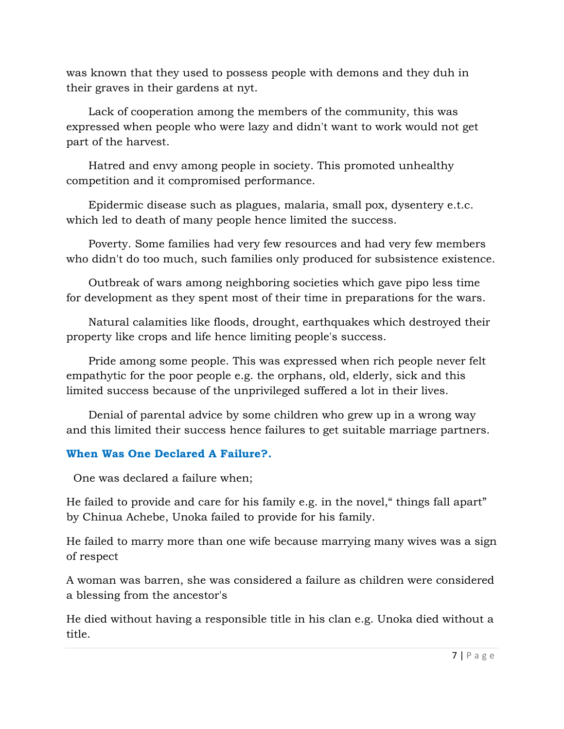was known that they used to possess people with demons and they duh in their graves in their gardens at nyt.

Lack of cooperation among the members of the community, this was expressed when people who were lazy and didn't want to work would not get part of the harvest.

Hatred and envy among people in society. This promoted unhealthy competition and it compromised performance.

Epidermic disease such as plagues, malaria, small pox, dysentery e.t.c. which led to death of many people hence limited the success.

Poverty. Some families had very few resources and had very few members who didn't do too much, such families only produced for subsistence existence.

Outbreak of wars among neighboring societies which gave pipo less time for development as they spent most of their time in preparations for the wars.

Natural calamities like floods, drought, earthquakes which destroyed their property like crops and life hence limiting people's success.

Pride among some people. This was expressed when rich people never felt empathytic for the poor people e.g. the orphans, old, elderly, sick and this limited success because of the unprivileged suffered a lot in their lives.

Denial of parental advice by some children who grew up in a wrong way and this limited their success hence failures to get suitable marriage partners.

#### **When Was One Declared A Failure?.**

One was declared a failure when;

He failed to provide and care for his family e.g. in the novel," things fall apart" by Chinua Achebe, Unoka failed to provide for his family.

He failed to marry more than one wife because marrying many wives was a sign of respect

A woman was barren, she was considered a failure as children were considered a blessing from the ancestor's

He died without having a responsible title in his clan e.g. Unoka died without a title.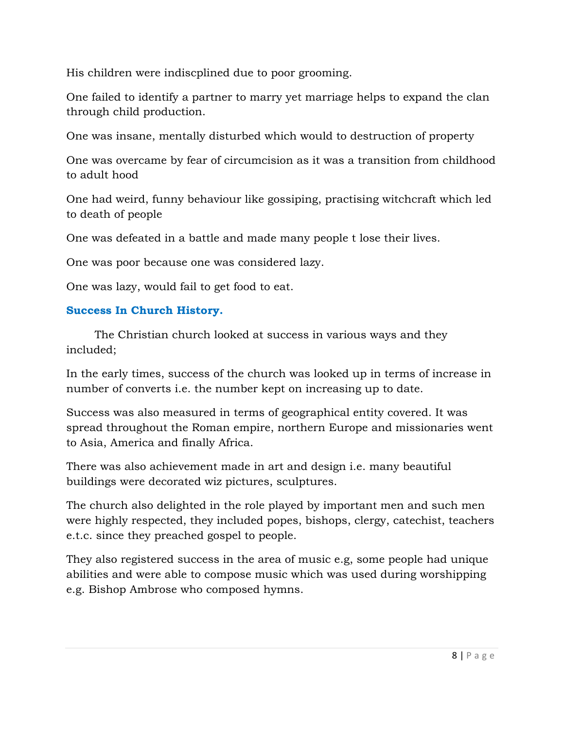His children were indiscplined due to poor grooming.

One failed to identify a partner to marry yet marriage helps to expand the clan through child production.

One was insane, mentally disturbed which would to destruction of property

One was overcame by fear of circumcision as it was a transition from childhood to adult hood

One had weird, funny behaviour like gossiping, practising witchcraft which led to death of people

One was defeated in a battle and made many people t lose their lives.

One was poor because one was considered lazy.

One was lazy, would fail to get food to eat.

## **Success In Church History.**

 The Christian church looked at success in various ways and they included;

In the early times, success of the church was looked up in terms of increase in number of converts i.e. the number kept on increasing up to date.

Success was also measured in terms of geographical entity covered. It was spread throughout the Roman empire, northern Europe and missionaries went to Asia, America and finally Africa.

There was also achievement made in art and design i.e. many beautiful buildings were decorated wiz pictures, sculptures.

The church also delighted in the role played by important men and such men were highly respected, they included popes, bishops, clergy, catechist, teachers e.t.c. since they preached gospel to people.

They also registered success in the area of music e.g, some people had unique abilities and were able to compose music which was used during worshipping e.g. Bishop Ambrose who composed hymns.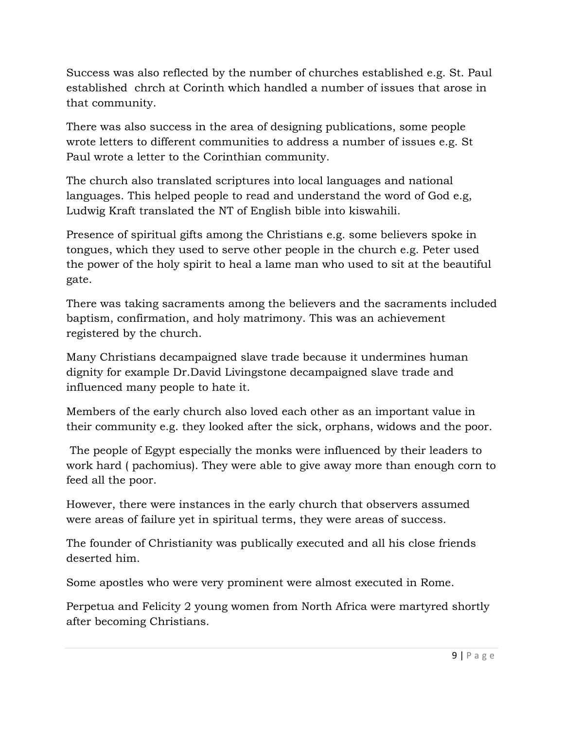Success was also reflected by the number of churches established e.g. St. Paul established chrch at Corinth which handled a number of issues that arose in that community.

There was also success in the area of designing publications, some people wrote letters to different communities to address a number of issues e.g. St Paul wrote a letter to the Corinthian community.

The church also translated scriptures into local languages and national languages. This helped people to read and understand the word of God e.g, Ludwig Kraft translated the NT of English bible into kiswahili.

Presence of spiritual gifts among the Christians e.g. some believers spoke in tongues, which they used to serve other people in the church e.g. Peter used the power of the holy spirit to heal a lame man who used to sit at the beautiful gate.

There was taking sacraments among the believers and the sacraments included baptism, confirmation, and holy matrimony. This was an achievement registered by the church.

Many Christians decampaigned slave trade because it undermines human dignity for example Dr.David Livingstone decampaigned slave trade and influenced many people to hate it.

Members of the early church also loved each other as an important value in their community e.g. they looked after the sick, orphans, widows and the poor.

 The people of Egypt especially the monks were influenced by their leaders to work hard ( pachomius). They were able to give away more than enough corn to feed all the poor.

However, there were instances in the early church that observers assumed were areas of failure yet in spiritual terms, they were areas of success.

The founder of Christianity was publically executed and all his close friends deserted him.

Some apostles who were very prominent were almost executed in Rome.

Perpetua and Felicity 2 young women from North Africa were martyred shortly after becoming Christians.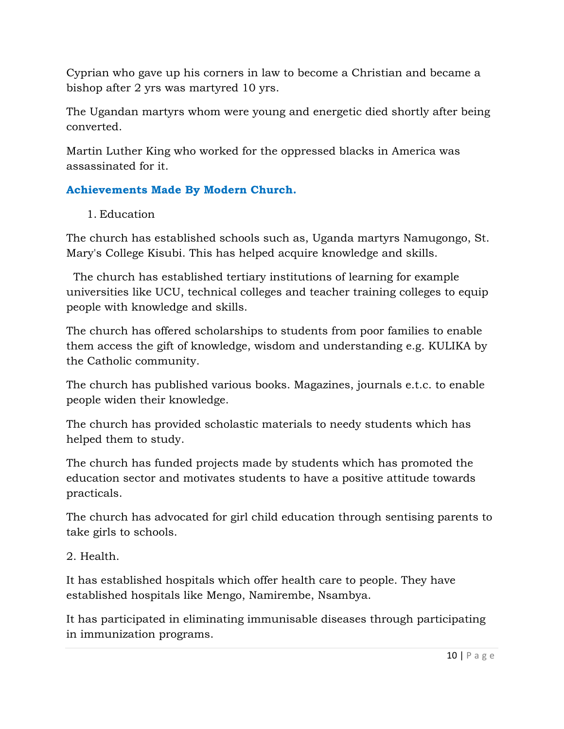Cyprian who gave up his corners in law to become a Christian and became a bishop after 2 yrs was martyred 10 yrs.

The Ugandan martyrs whom were young and energetic died shortly after being converted.

Martin Luther King who worked for the oppressed blacks in America was assassinated for it.

# **Achievements Made By Modern Church.**

## 1. Education

The church has established schools such as, Uganda martyrs Namugongo, St. Mary's College Kisubi. This has helped acquire knowledge and skills.

 The church has established tertiary institutions of learning for example universities like UCU, technical colleges and teacher training colleges to equip people with knowledge and skills.

The church has offered scholarships to students from poor families to enable them access the gift of knowledge, wisdom and understanding e.g. KULIKA by the Catholic community.

The church has published various books. Magazines, journals e.t.c. to enable people widen their knowledge.

The church has provided scholastic materials to needy students which has helped them to study.

The church has funded projects made by students which has promoted the education sector and motivates students to have a positive attitude towards practicals.

The church has advocated for girl child education through sentising parents to take girls to schools.

2. Health.

It has established hospitals which offer health care to people. They have established hospitals like Mengo, Namirembe, Nsambya.

It has participated in eliminating immunisable diseases through participating in immunization programs.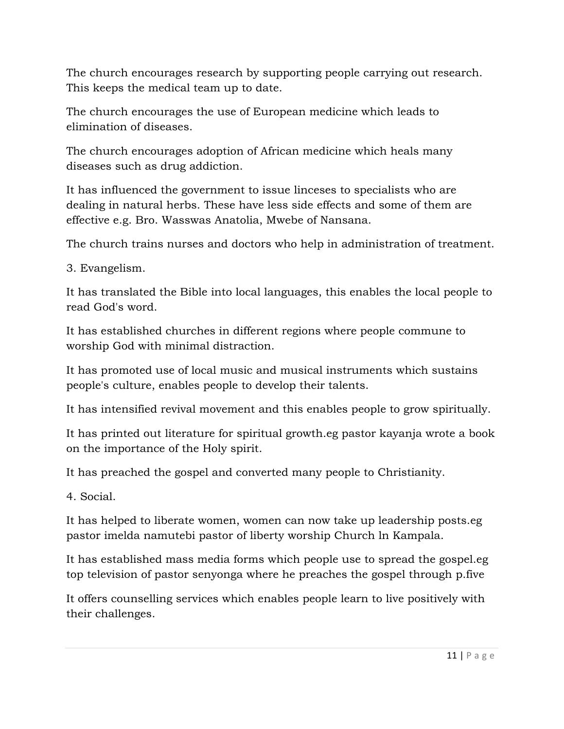The church encourages research by supporting people carrying out research. This keeps the medical team up to date.

The church encourages the use of European medicine which leads to elimination of diseases.

The church encourages adoption of African medicine which heals many diseases such as drug addiction.

It has influenced the government to issue linceses to specialists who are dealing in natural herbs. These have less side effects and some of them are effective e.g. Bro. Wasswas Anatolia, Mwebe of Nansana.

The church trains nurses and doctors who help in administration of treatment.

3. Evangelism.

It has translated the Bible into local languages, this enables the local people to read God's word.

It has established churches in different regions where people commune to worship God with minimal distraction.

It has promoted use of local music and musical instruments which sustains people's culture, enables people to develop their talents.

It has intensified revival movement and this enables people to grow spiritually.

It has printed out literature for spiritual growth.eg pastor kayanja wrote a book on the importance of the Holy spirit.

It has preached the gospel and converted many people to Christianity.

4. Social.

It has helped to liberate women, women can now take up leadership posts.eg pastor imelda namutebi pastor of liberty worship Church ln Kampala.

It has established mass media forms which people use to spread the gospel.eg top television of pastor senyonga where he preaches the gospel through p.five

It offers counselling services which enables people learn to live positively with their challenges.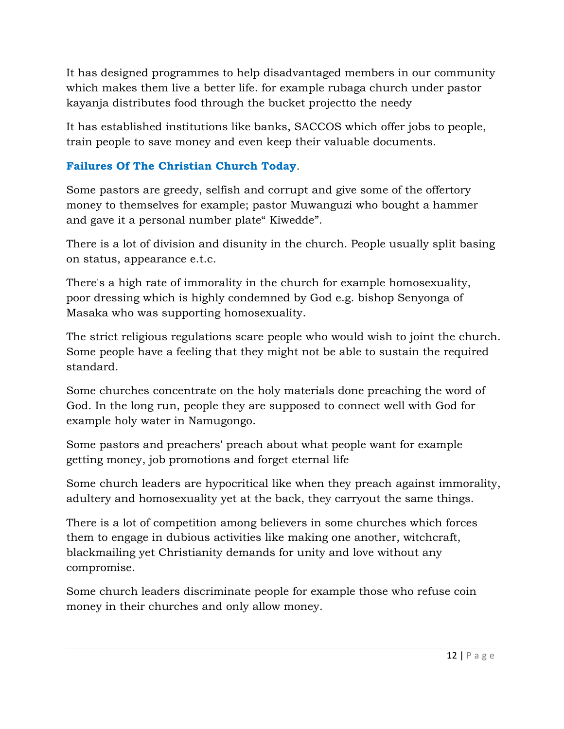It has designed programmes to help disadvantaged members in our community which makes them live a better life. for example rubaga church under pastor kayanja distributes food through the bucket projectto the needy

It has established institutions like banks, SACCOS which offer jobs to people, train people to save money and even keep their valuable documents.

## **Failures Of The Christian Church Today**.

Some pastors are greedy, selfish and corrupt and give some of the offertory money to themselves for example; pastor Muwanguzi who bought a hammer and gave it a personal number plate" Kiwedde".

There is a lot of division and disunity in the church. People usually split basing on status, appearance e.t.c.

There's a high rate of immorality in the church for example homosexuality, poor dressing which is highly condemned by God e.g. bishop Senyonga of Masaka who was supporting homosexuality.

The strict religious regulations scare people who would wish to joint the church. Some people have a feeling that they might not be able to sustain the required standard.

Some churches concentrate on the holy materials done preaching the word of God. In the long run, people they are supposed to connect well with God for example holy water in Namugongo.

Some pastors and preachers' preach about what people want for example getting money, job promotions and forget eternal life

Some church leaders are hypocritical like when they preach against immorality, adultery and homosexuality yet at the back, they carryout the same things.

There is a lot of competition among believers in some churches which forces them to engage in dubious activities like making one another, witchcraft, blackmailing yet Christianity demands for unity and love without any compromise.

Some church leaders discriminate people for example those who refuse coin money in their churches and only allow money.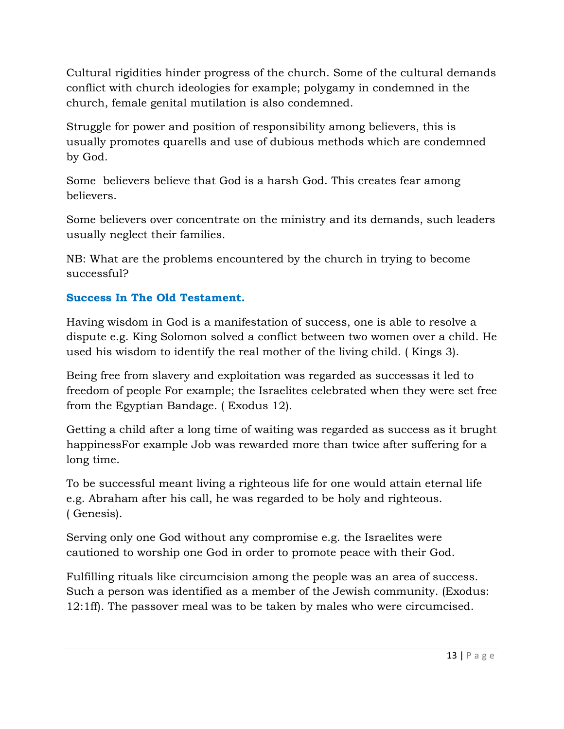Cultural rigidities hinder progress of the church. Some of the cultural demands conflict with church ideologies for example; polygamy in condemned in the church, female genital mutilation is also condemned.

Struggle for power and position of responsibility among believers, this is usually promotes quarells and use of dubious methods which are condemned by God.

Some believers believe that God is a harsh God. This creates fear among believers.

Some believers over concentrate on the ministry and its demands, such leaders usually neglect their families.

NB: What are the problems encountered by the church in trying to become successful?

### **Success In The Old Testament.**

Having wisdom in God is a manifestation of success, one is able to resolve a dispute e.g. King Solomon solved a conflict between two women over a child. He used his wisdom to identify the real mother of the living child. ( Kings 3).

Being free from slavery and exploitation was regarded as successas it led to freedom of people For example; the Israelites celebrated when they were set free from the Egyptian Bandage. ( Exodus 12).

Getting a child after a long time of waiting was regarded as success as it brught happinessFor example Job was rewarded more than twice after suffering for a long time.

To be successful meant living a righteous life for one would attain eternal life e.g. Abraham after his call, he was regarded to be holy and righteous. ( Genesis).

Serving only one God without any compromise e.g. the Israelites were cautioned to worship one God in order to promote peace with their God.

Fulfilling rituals like circumcision among the people was an area of success. Such a person was identified as a member of the Jewish community. (Exodus: 12:1ff). The passover meal was to be taken by males who were circumcised.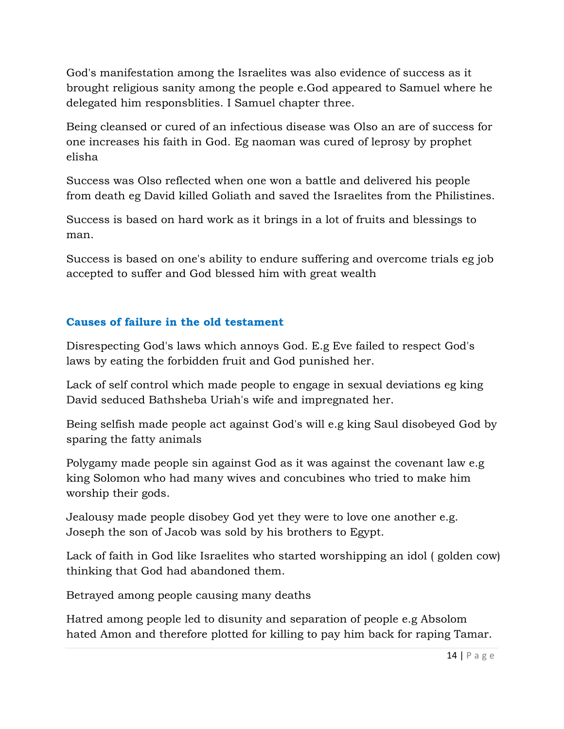God's manifestation among the Israelites was also evidence of success as it brought religious sanity among the people e.God appeared to Samuel where he delegated him responsblities. I Samuel chapter three.

Being cleansed or cured of an infectious disease was Olso an are of success for one increases his faith in God. Eg naoman was cured of leprosy by prophet elisha

Success was Olso reflected when one won a battle and delivered his people from death eg David killed Goliath and saved the Israelites from the Philistines.

Success is based on hard work as it brings in a lot of fruits and blessings to man.

Success is based on one's ability to endure suffering and overcome trials eg job accepted to suffer and God blessed him with great wealth

#### **Causes of failure in the old testament**

Disrespecting God's laws which annoys God. E.g Eve failed to respect God's laws by eating the forbidden fruit and God punished her.

Lack of self control which made people to engage in sexual deviations eg king David seduced Bathsheba Uriah's wife and impregnated her.

Being selfish made people act against God's will e.g king Saul disobeyed God by sparing the fatty animals

Polygamy made people sin against God as it was against the covenant law e.g king Solomon who had many wives and concubines who tried to make him worship their gods.

Jealousy made people disobey God yet they were to love one another e.g. Joseph the son of Jacob was sold by his brothers to Egypt.

Lack of faith in God like Israelites who started worshipping an idol ( golden cow) thinking that God had abandoned them.

Betrayed among people causing many deaths

Hatred among people led to disunity and separation of people e.g Absolom hated Amon and therefore plotted for killing to pay him back for raping Tamar.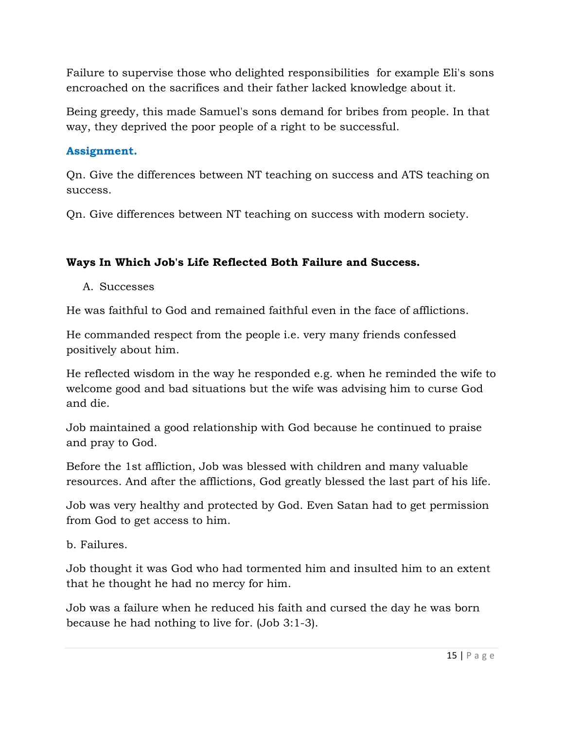Failure to supervise those who delighted responsibilities for example Eli's sons encroached on the sacrifices and their father lacked knowledge about it.

Being greedy, this made Samuel's sons demand for bribes from people. In that way, they deprived the poor people of a right to be successful.

### **Assignment.**

Qn. Give the differences between NT teaching on success and ATS teaching on success.

Qn. Give differences between NT teaching on success with modern society.

## **Ways In Which Job's Life Reflected Both Failure and Success.**

A. Successes

He was faithful to God and remained faithful even in the face of afflictions.

He commanded respect from the people i.e. very many friends confessed positively about him.

He reflected wisdom in the way he responded e.g. when he reminded the wife to welcome good and bad situations but the wife was advising him to curse God and die.

Job maintained a good relationship with God because he continued to praise and pray to God.

Before the 1st affliction, Job was blessed with children and many valuable resources. And after the afflictions, God greatly blessed the last part of his life.

Job was very healthy and protected by God. Even Satan had to get permission from God to get access to him.

b. Failures.

Job thought it was God who had tormented him and insulted him to an extent that he thought he had no mercy for him.

Job was a failure when he reduced his faith and cursed the day he was born because he had nothing to live for. (Job 3:1-3).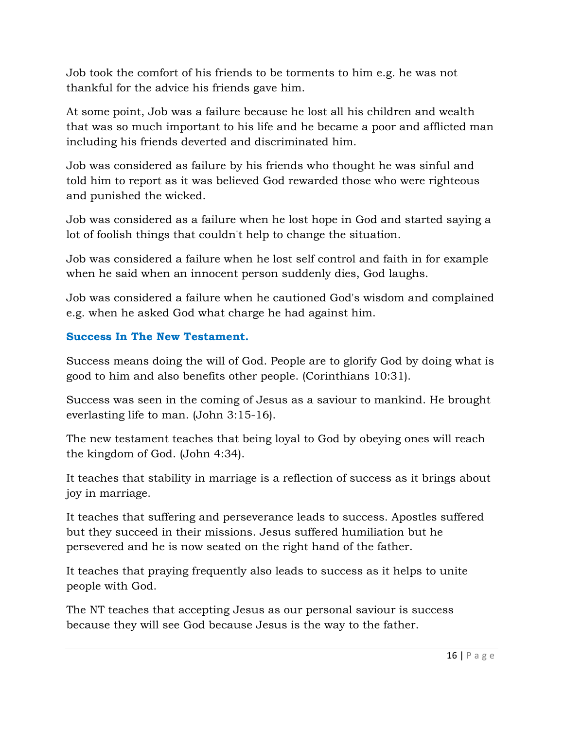Job took the comfort of his friends to be torments to him e.g. he was not thankful for the advice his friends gave him.

At some point, Job was a failure because he lost all his children and wealth that was so much important to his life and he became a poor and afflicted man including his friends deverted and discriminated him.

Job was considered as failure by his friends who thought he was sinful and told him to report as it was believed God rewarded those who were righteous and punished the wicked.

Job was considered as a failure when he lost hope in God and started saying a lot of foolish things that couldn't help to change the situation.

Job was considered a failure when he lost self control and faith in for example when he said when an innocent person suddenly dies, God laughs.

Job was considered a failure when he cautioned God's wisdom and complained e.g. when he asked God what charge he had against him.

### **Success In The New Testament.**

Success means doing the will of God. People are to glorify God by doing what is good to him and also benefits other people. (Corinthians 10:31).

Success was seen in the coming of Jesus as a saviour to mankind. He brought everlasting life to man. (John 3:15-16).

The new testament teaches that being loyal to God by obeying ones will reach the kingdom of God. (John 4:34).

It teaches that stability in marriage is a reflection of success as it brings about joy in marriage.

It teaches that suffering and perseverance leads to success. Apostles suffered but they succeed in their missions. Jesus suffered humiliation but he persevered and he is now seated on the right hand of the father.

It teaches that praying frequently also leads to success as it helps to unite people with God.

The NT teaches that accepting Jesus as our personal saviour is success because they will see God because Jesus is the way to the father.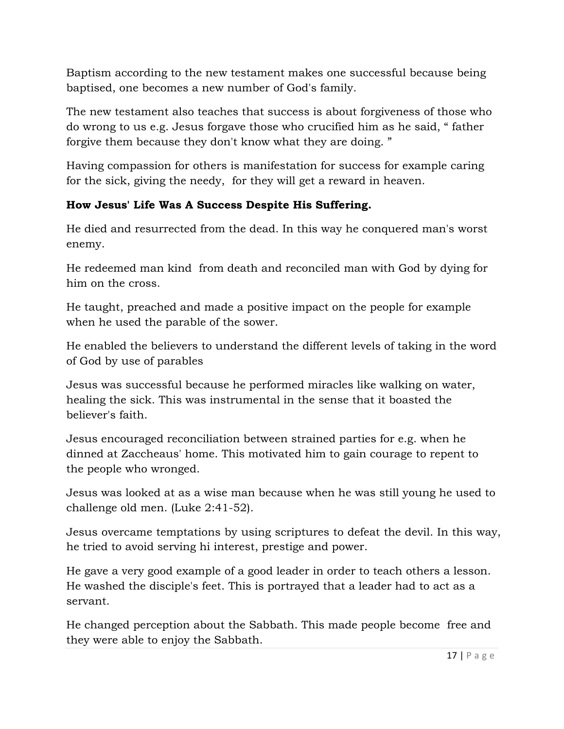Baptism according to the new testament makes one successful because being baptised, one becomes a new number of God's family.

The new testament also teaches that success is about forgiveness of those who do wrong to us e.g. Jesus forgave those who crucified him as he said, " father forgive them because they don't know what they are doing. "

Having compassion for others is manifestation for success for example caring for the sick, giving the needy, for they will get a reward in heaven.

## **How Jesus' Life Was A Success Despite His Suffering.**

He died and resurrected from the dead. In this way he conquered man's worst enemy.

He redeemed man kind from death and reconciled man with God by dying for him on the cross.

He taught, preached and made a positive impact on the people for example when he used the parable of the sower.

He enabled the believers to understand the different levels of taking in the word of God by use of parables

Jesus was successful because he performed miracles like walking on water, healing the sick. This was instrumental in the sense that it boasted the believer's faith.

Jesus encouraged reconciliation between strained parties for e.g. when he dinned at Zaccheaus' home. This motivated him to gain courage to repent to the people who wronged.

Jesus was looked at as a wise man because when he was still young he used to challenge old men. (Luke 2:41-52).

Jesus overcame temptations by using scriptures to defeat the devil. In this way, he tried to avoid serving hi interest, prestige and power.

He gave a very good example of a good leader in order to teach others a lesson. He washed the disciple's feet. This is portrayed that a leader had to act as a servant.

He changed perception about the Sabbath. This made people become free and they were able to enjoy the Sabbath.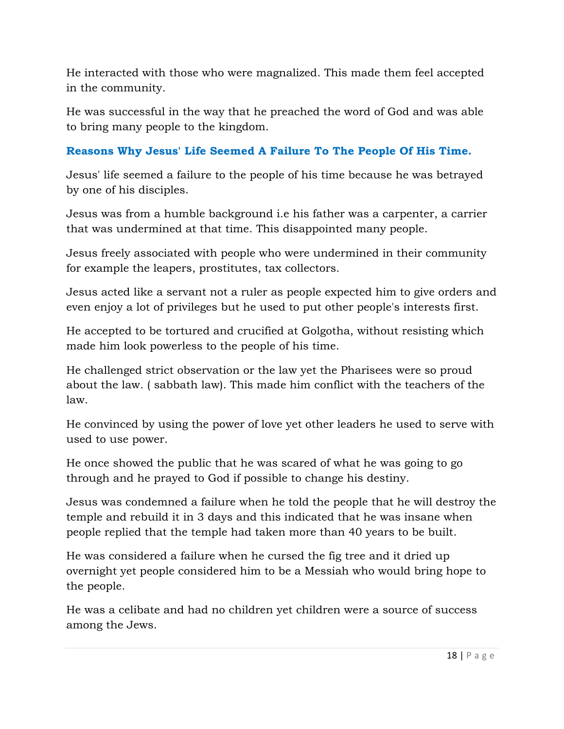He interacted with those who were magnalized. This made them feel accepted in the community.

He was successful in the way that he preached the word of God and was able to bring many people to the kingdom.

## **Reasons Why Jesus' Life Seemed A Failure To The People Of His Time.**

Jesus' life seemed a failure to the people of his time because he was betrayed by one of his disciples.

Jesus was from a humble background i.e his father was a carpenter, a carrier that was undermined at that time. This disappointed many people.

Jesus freely associated with people who were undermined in their community for example the leapers, prostitutes, tax collectors.

Jesus acted like a servant not a ruler as people expected him to give orders and even enjoy a lot of privileges but he used to put other people's interests first.

He accepted to be tortured and crucified at Golgotha, without resisting which made him look powerless to the people of his time.

He challenged strict observation or the law yet the Pharisees were so proud about the law. ( sabbath law). This made him conflict with the teachers of the law.

He convinced by using the power of love yet other leaders he used to serve with used to use power.

He once showed the public that he was scared of what he was going to go through and he prayed to God if possible to change his destiny.

Jesus was condemned a failure when he told the people that he will destroy the temple and rebuild it in 3 days and this indicated that he was insane when people replied that the temple had taken more than 40 years to be built.

He was considered a failure when he cursed the fig tree and it dried up overnight yet people considered him to be a Messiah who would bring hope to the people.

He was a celibate and had no children yet children were a source of success among the Jews.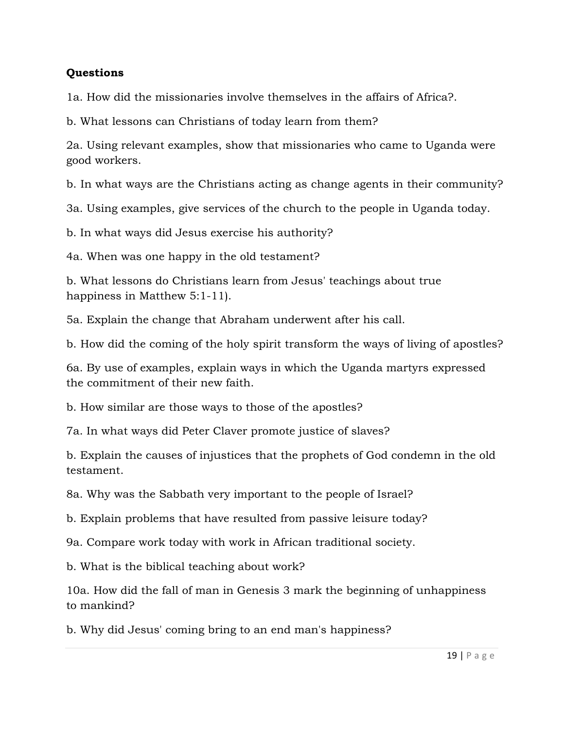#### **Questions**

1a. How did the missionaries involve themselves in the affairs of Africa?.

b. What lessons can Christians of today learn from them?

2a. Using relevant examples, show that missionaries who came to Uganda were good workers.

b. In what ways are the Christians acting as change agents in their community?

3a. Using examples, give services of the church to the people in Uganda today.

b. In what ways did Jesus exercise his authority?

4a. When was one happy in the old testament?

b. What lessons do Christians learn from Jesus' teachings about true happiness in Matthew 5:1-11).

5a. Explain the change that Abraham underwent after his call.

b. How did the coming of the holy spirit transform the ways of living of apostles?

6a. By use of examples, explain ways in which the Uganda martyrs expressed the commitment of their new faith.

b. How similar are those ways to those of the apostles?

7a. In what ways did Peter Claver promote justice of slaves?

b. Explain the causes of injustices that the prophets of God condemn in the old testament.

8a. Why was the Sabbath very important to the people of Israel?

b. Explain problems that have resulted from passive leisure today?

9a. Compare work today with work in African traditional society.

b. What is the biblical teaching about work?

10a. How did the fall of man in Genesis 3 mark the beginning of unhappiness to mankind?

b. Why did Jesus' coming bring to an end man's happiness?